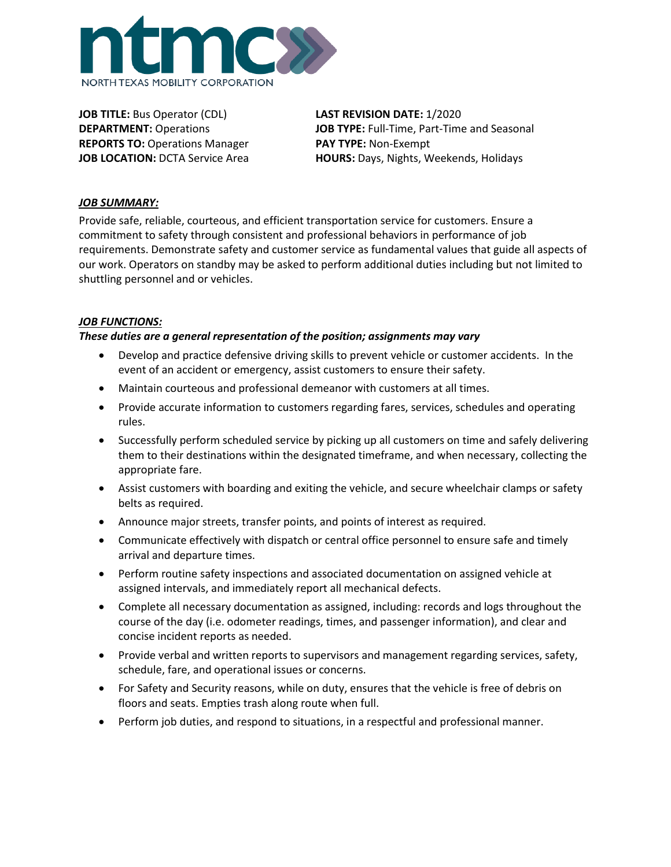

**JOB TITLE:** Bus Operator (CDL) **LAST REVISION DATE:** 1/2020 **REPORTS TO:** Operations Manager **PAY TYPE:** Non-Exempt

**DEPARTMENT:** Operations **JOB TYPE:** Full-Time, Part-Time and Seasonal **JOB LOCATION:** DCTA Service Area **HOURS:** Days, Nights, Weekends, Holidays

### *JOB SUMMARY:*

Provide safe, reliable, courteous, and efficient transportation service for customers. Ensure a commitment to safety through consistent and professional behaviors in performance of job requirements. Demonstrate safety and customer service as fundamental values that guide all aspects of our work. Operators on standby may be asked to perform additional duties including but not limited to shuttling personnel and or vehicles.

### *JOB FUNCTIONS:*

### *These duties are a general representation of the position; assignments may vary*

- Develop and practice defensive driving skills to prevent vehicle or customer accidents. In the event of an accident or emergency, assist customers to ensure their safety.
- Maintain courteous and professional demeanor with customers at all times.
- Provide accurate information to customers regarding fares, services, schedules and operating rules.
- Successfully perform scheduled service by picking up all customers on time and safely delivering them to their destinations within the designated timeframe, and when necessary, collecting the appropriate fare.
- Assist customers with boarding and exiting the vehicle, and secure wheelchair clamps or safety belts as required.
- Announce major streets, transfer points, and points of interest as required.
- Communicate effectively with dispatch or central office personnel to ensure safe and timely arrival and departure times.
- Perform routine safety inspections and associated documentation on assigned vehicle at assigned intervals, and immediately report all mechanical defects.
- Complete all necessary documentation as assigned, including: records and logs throughout the course of the day (i.e. odometer readings, times, and passenger information), and clear and concise incident reports as needed.
- Provide verbal and written reports to supervisors and management regarding services, safety, schedule, fare, and operational issues or concerns.
- For Safety and Security reasons, while on duty, ensures that the vehicle is free of debris on floors and seats. Empties trash along route when full.
- Perform job duties, and respond to situations, in a respectful and professional manner.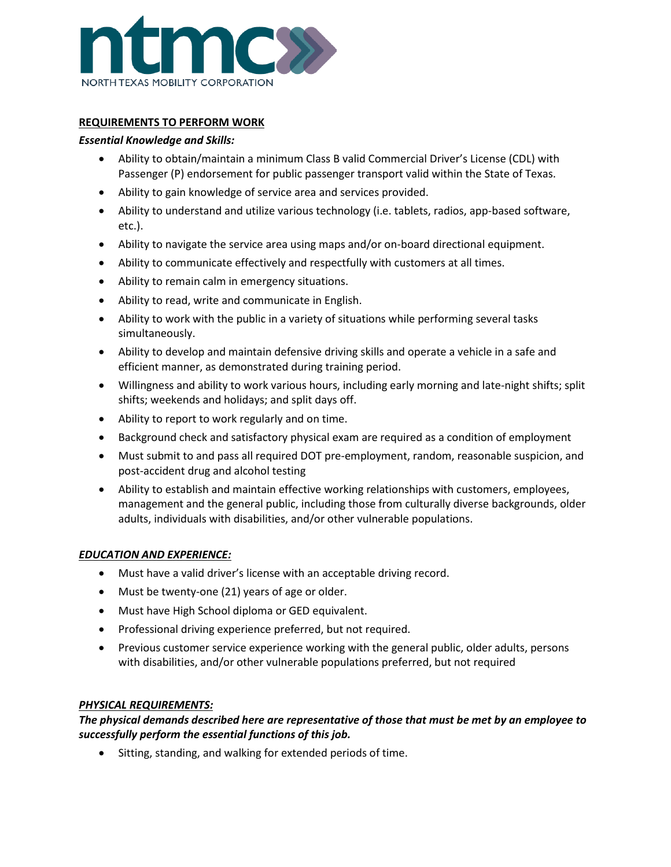

## **REQUIREMENTS TO PERFORM WORK**

#### *Essential Knowledge and Skills:*

- Ability to obtain/maintain a minimum Class B valid Commercial Driver's License (CDL) with Passenger (P) endorsement for public passenger transport valid within the State of Texas.
- Ability to gain knowledge of service area and services provided.
- Ability to understand and utilize various technology (i.e. tablets, radios, app-based software, etc.).
- Ability to navigate the service area using maps and/or on-board directional equipment.
- Ability to communicate effectively and respectfully with customers at all times.
- Ability to remain calm in emergency situations.
- Ability to read, write and communicate in English.
- Ability to work with the public in a variety of situations while performing several tasks simultaneously.
- Ability to develop and maintain defensive driving skills and operate a vehicle in a safe and efficient manner, as demonstrated during training period.
- Willingness and ability to work various hours, including early morning and late-night shifts; split shifts; weekends and holidays; and split days off.
- Ability to report to work regularly and on time.
- Background check and satisfactory physical exam are required as a condition of employment
- Must submit to and pass all required DOT pre-employment, random, reasonable suspicion, and post-accident drug and alcohol testing
- Ability to establish and maintain effective working relationships with customers, employees, management and the general public, including those from culturally diverse backgrounds, older adults, individuals with disabilities, and/or other vulnerable populations.

#### *EDUCATION AND EXPERIENCE:*

- Must have a valid driver's license with an acceptable driving record.
- Must be twenty-one (21) years of age or older.
- Must have High School diploma or GED equivalent.
- Professional driving experience preferred, but not required.
- Previous customer service experience working with the general public, older adults, persons with disabilities, and/or other vulnerable populations preferred, but not required

#### *PHYSICAL REQUIREMENTS:*

*The physical demands described here are representative of those that must be met by an employee to successfully perform the essential functions of this job.* 

• Sitting, standing, and walking for extended periods of time.